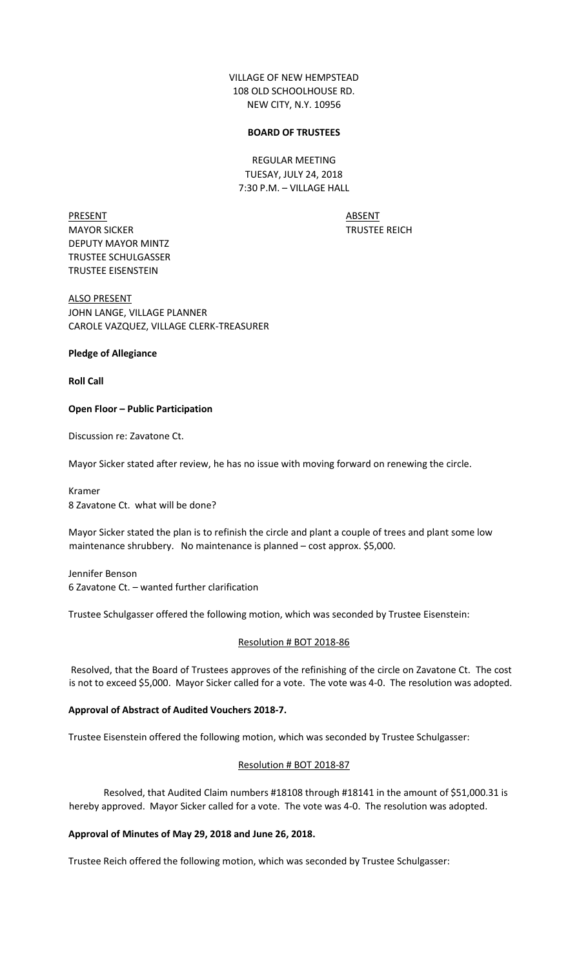VILLAGE OF NEW HEMPSTEAD 108 OLD SCHOOLHOUSE RD. NEW CITY, N.Y. 10956

## **BOARD OF TRUSTEES**

REGULAR MEETING TUESAY, JULY 24, 2018 7:30 P.M. – VILLAGE HALL

PRESENT ABSENT MAYOR SICKER TRUSTEE REICH DEPUTY MAYOR MINTZ TRUSTEE SCHULGASSER TRUSTEE EISENSTEIN

ALSO PRESENT JOHN LANGE, VILLAGE PLANNER CAROLE VAZQUEZ, VILLAGE CLERK-TREASURER

# **Pledge of Allegiance**

**Roll Call** 

## **Open Floor – Public Participation**

Discussion re: Zavatone Ct.

Mayor Sicker stated after review, he has no issue with moving forward on renewing the circle.

Kramer 8 Zavatone Ct. what will be done?

Mayor Sicker stated the plan is to refinish the circle and plant a couple of trees and plant some low maintenance shrubbery. No maintenance is planned – cost approx. \$5,000.

Jennifer Benson 6 Zavatone Ct. – wanted further clarification

Trustee Schulgasser offered the following motion, which was seconded by Trustee Eisenstein:

#### Resolution # BOT 2018-86

Resolved, that the Board of Trustees approves of the refinishing of the circle on Zavatone Ct. The cost is not to exceed \$5,000. Mayor Sicker called for a vote. The vote was 4-0. The resolution was adopted.

### **Approval of Abstract of Audited Vouchers 2018-7.**

Trustee Eisenstein offered the following motion, which was seconded by Trustee Schulgasser:

#### Resolution # BOT 2018-87

Resolved, that Audited Claim numbers #18108 through #18141 in the amount of \$51,000.31 is hereby approved. Mayor Sicker called for a vote. The vote was 4-0. The resolution was adopted.

### **Approval of Minutes of May 29, 2018 and June 26, 2018.**

Trustee Reich offered the following motion, which was seconded by Trustee Schulgasser: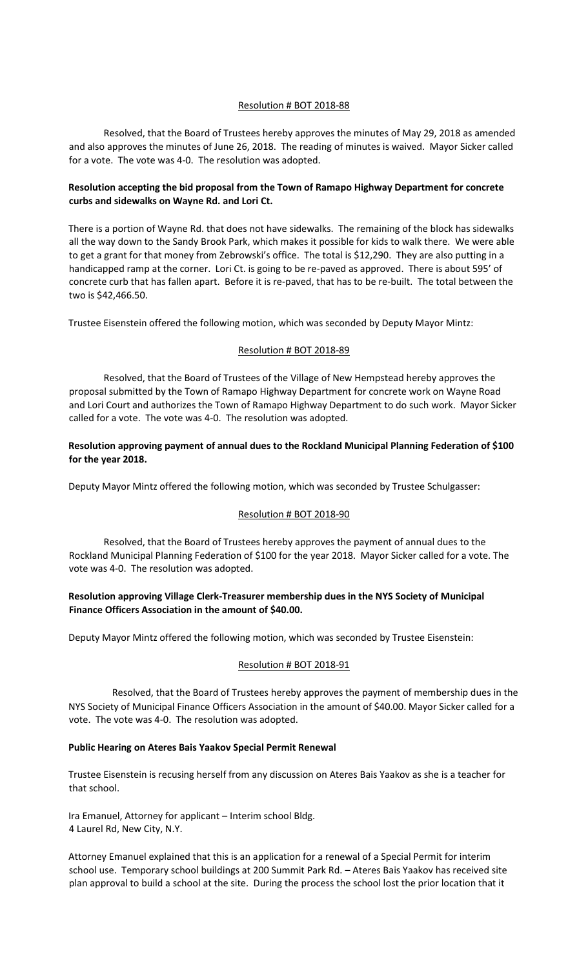## Resolution # BOT 2018-88

Resolved, that the Board of Trustees hereby approves the minutes of May 29, 2018 as amended and also approves the minutes of June 26, 2018. The reading of minutes is waived. Mayor Sicker called for a vote. The vote was 4-0. The resolution was adopted.

# **Resolution accepting the bid proposal from the Town of Ramapo Highway Department for concrete curbs and sidewalks on Wayne Rd. and Lori Ct.**

There is a portion of Wayne Rd. that does not have sidewalks. The remaining of the block has sidewalks all the way down to the Sandy Brook Park, which makes it possible for kids to walk there. We were able to get a grant for that money from Zebrowski's office. The total is \$12,290. They are also putting in a handicapped ramp at the corner. Lori Ct. is going to be re-paved as approved. There is about 595' of concrete curb that has fallen apart. Before it is re-paved, that has to be re-built. The total between the two is \$42,466.50.

Trustee Eisenstein offered the following motion, which was seconded by Deputy Mayor Mintz:

# Resolution # BOT 2018-89

Resolved, that the Board of Trustees of the Village of New Hempstead hereby approves the proposal submitted by the Town of Ramapo Highway Department for concrete work on Wayne Road and Lori Court and authorizes the Town of Ramapo Highway Department to do such work. Mayor Sicker called for a vote. The vote was 4-0. The resolution was adopted.

# **Resolution approving payment of annual dues to the Rockland Municipal Planning Federation of \$100 for the year 2018.**

Deputy Mayor Mintz offered the following motion, which was seconded by Trustee Schulgasser:

# Resolution # BOT 2018-90

Resolved, that the Board of Trustees hereby approves the payment of annual dues to the Rockland Municipal Planning Federation of \$100 for the year 2018. Mayor Sicker called for a vote. The vote was 4-0. The resolution was adopted.

# **Resolution approving Village Clerk-Treasurer membership dues in the NYS Society of Municipal Finance Officers Association in the amount of \$40.00.**

Deputy Mayor Mintz offered the following motion, which was seconded by Trustee Eisenstein:

# Resolution # BOT 2018-91

Resolved, that the Board of Trustees hereby approves the payment of membership dues in the NYS Society of Municipal Finance Officers Association in the amount of \$40.00. Mayor Sicker called for a vote. The vote was 4-0. The resolution was adopted.

#### **Public Hearing on Ateres Bais Yaakov Special Permit Renewal**

Trustee Eisenstein is recusing herself from any discussion on Ateres Bais Yaakov as she is a teacher for that school.

Ira Emanuel, Attorney for applicant – Interim school Bldg. 4 Laurel Rd, New City, N.Y.

Attorney Emanuel explained that this is an application for a renewal of a Special Permit for interim school use. Temporary school buildings at 200 Summit Park Rd. – Ateres Bais Yaakov has received site plan approval to build a school at the site. During the process the school lost the prior location that it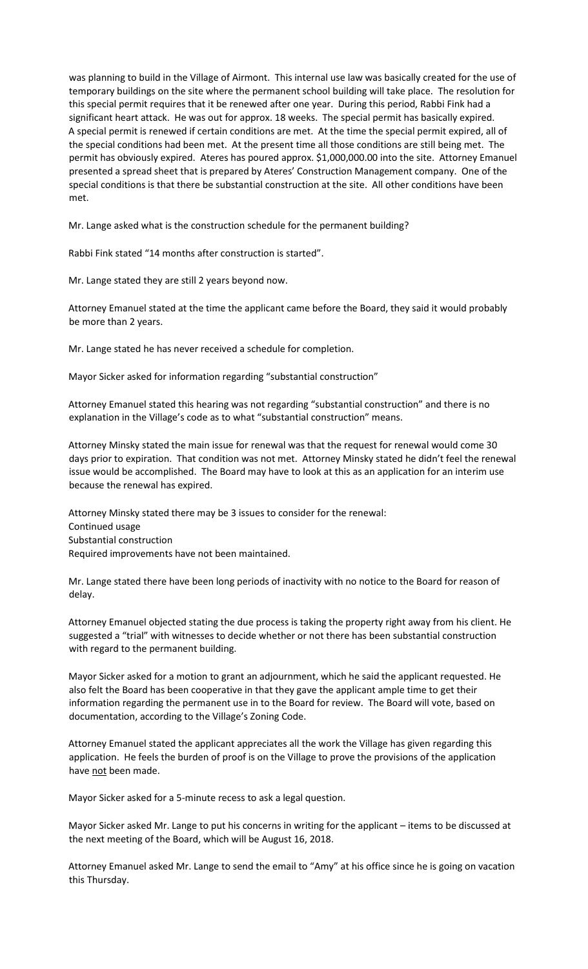was planning to build in the Village of Airmont. This internal use law was basically created for the use of temporary buildings on the site where the permanent school building will take place. The resolution for this special permit requires that it be renewed after one year. During this period, Rabbi Fink had a significant heart attack. He was out for approx. 18 weeks. The special permit has basically expired. A special permit is renewed if certain conditions are met. At the time the special permit expired, all of the special conditions had been met. At the present time all those conditions are still being met. The permit has obviously expired. Ateres has poured approx. \$1,000,000.00 into the site. Attorney Emanuel presented a spread sheet that is prepared by Ateres' Construction Management company. One of the special conditions is that there be substantial construction at the site. All other conditions have been met.

Mr. Lange asked what is the construction schedule for the permanent building?

Rabbi Fink stated "14 months after construction is started".

Mr. Lange stated they are still 2 years beyond now.

Attorney Emanuel stated at the time the applicant came before the Board, they said it would probably be more than 2 years.

Mr. Lange stated he has never received a schedule for completion.

Mayor Sicker asked for information regarding "substantial construction"

Attorney Emanuel stated this hearing was not regarding "substantial construction" and there is no explanation in the Village's code as to what "substantial construction" means.

Attorney Minsky stated the main issue for renewal was that the request for renewal would come 30 days prior to expiration. That condition was not met. Attorney Minsky stated he didn't feel the renewal issue would be accomplished. The Board may have to look at this as an application for an interim use because the renewal has expired.

Attorney Minsky stated there may be 3 issues to consider for the renewal: Continued usage Substantial construction Required improvements have not been maintained.

Mr. Lange stated there have been long periods of inactivity with no notice to the Board for reason of delay.

Attorney Emanuel objected stating the due process is taking the property right away from his client. He suggested a "trial" with witnesses to decide whether or not there has been substantial construction with regard to the permanent building.

Mayor Sicker asked for a motion to grant an adjournment, which he said the applicant requested. He also felt the Board has been cooperative in that they gave the applicant ample time to get their information regarding the permanent use in to the Board for review. The Board will vote, based on documentation, according to the Village's Zoning Code.

Attorney Emanuel stated the applicant appreciates all the work the Village has given regarding this application. He feels the burden of proof is on the Village to prove the provisions of the application have not been made.

Mayor Sicker asked for a 5-minute recess to ask a legal question.

Mayor Sicker asked Mr. Lange to put his concerns in writing for the applicant – items to be discussed at the next meeting of the Board, which will be August 16, 2018.

Attorney Emanuel asked Mr. Lange to send the email to "Amy" at his office since he is going on vacation this Thursday.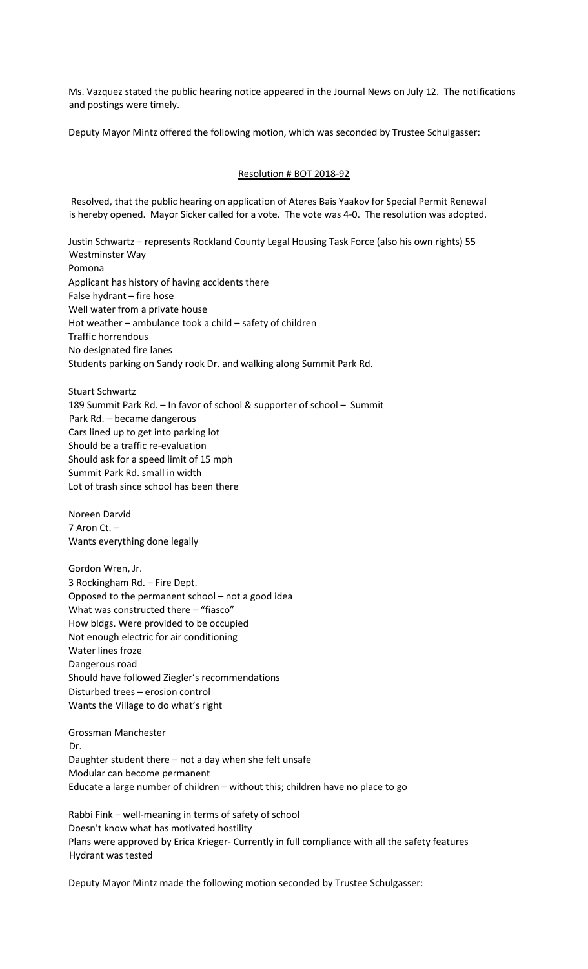Ms. Vazquez stated the public hearing notice appeared in the Journal News on July 12. The notifications and postings were timely.

Deputy Mayor Mintz offered the following motion, which was seconded by Trustee Schulgasser:

## Resolution # BOT 2018-92

Resolved, that the public hearing on application of Ateres Bais Yaakov for Special Permit Renewal is hereby opened. Mayor Sicker called for a vote. The vote was 4-0. The resolution was adopted.

Justin Schwartz – represents Rockland County Legal Housing Task Force (also his own rights) 55 Westminster Way Pomona Applicant has history of having accidents there False hydrant – fire hose Well water from a private house Hot weather – ambulance took a child – safety of children Traffic horrendous No designated fire lanes Students parking on Sandy rook Dr. and walking along Summit Park Rd.

Stuart Schwartz 189 Summit Park Rd. – In favor of school & supporter of school – Summit Park Rd. – became dangerous Cars lined up to get into parking lot Should be a traffic re-evaluation Should ask for a speed limit of 15 mph Summit Park Rd. small in width Lot of trash since school has been there

Noreen Darvid 7 Aron Ct. – Wants everything done legally

Gordon Wren, Jr. 3 Rockingham Rd. – Fire Dept. Opposed to the permanent school – not a good idea What was constructed there - "fiasco" How bldgs. Were provided to be occupied Not enough electric for air conditioning Water lines froze Dangerous road Should have followed Ziegler's recommendations Disturbed trees – erosion control Wants the Village to do what's right

Grossman Manchester Dr. Daughter student there – not a day when she felt unsafe Modular can become permanent Educate a large number of children – without this; children have no place to go

Rabbi Fink – well-meaning in terms of safety of school Doesn't know what has motivated hostility Plans were approved by Erica Krieger- Currently in full compliance with all the safety features Hydrant was tested

Deputy Mayor Mintz made the following motion seconded by Trustee Schulgasser: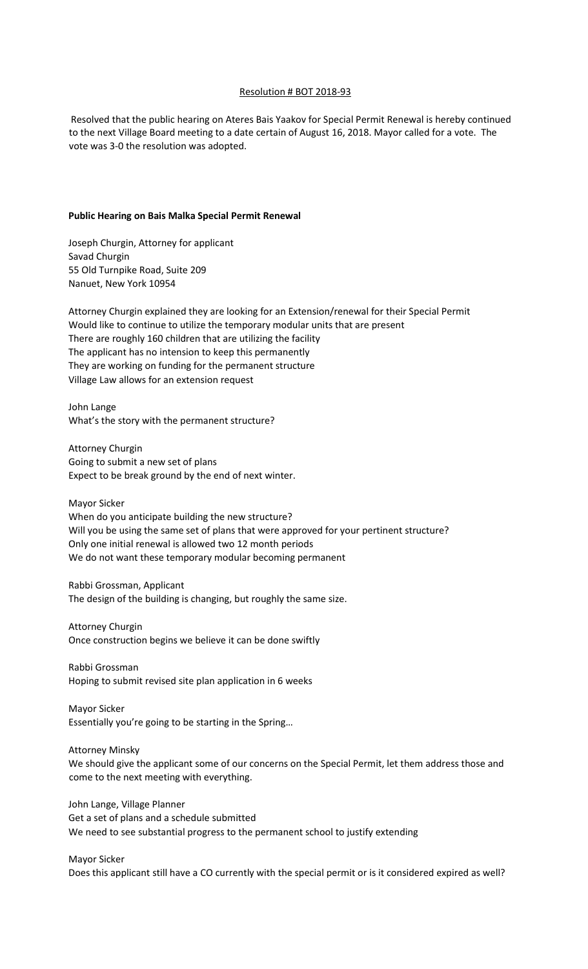## Resolution # BOT 2018-93

Resolved that the public hearing on Ateres Bais Yaakov for Special Permit Renewal is hereby continued to the next Village Board meeting to a date certain of August 16, 2018. Mayor called for a vote. The vote was 3-0 the resolution was adopted.

#### **Public Hearing on Bais Malka Special Permit Renewal**

Joseph Churgin, Attorney for applicant Savad Churgin 55 Old Turnpike Road, Suite 209 Nanuet, New York 10954

Attorney Churgin explained they are looking for an Extension/renewal for their Special Permit Would like to continue to utilize the temporary modular units that are present There are roughly 160 children that are utilizing the facility The applicant has no intension to keep this permanently They are working on funding for the permanent structure Village Law allows for an extension request

John Lange What's the story with the permanent structure?

Attorney Churgin Going to submit a new set of plans Expect to be break ground by the end of next winter.

Mayor Sicker When do you anticipate building the new structure? Will you be using the same set of plans that were approved for your pertinent structure? Only one initial renewal is allowed two 12 month periods We do not want these temporary modular becoming permanent

Rabbi Grossman, Applicant The design of the building is changing, but roughly the same size.

Attorney Churgin Once construction begins we believe it can be done swiftly

Rabbi Grossman Hoping to submit revised site plan application in 6 weeks

Mayor Sicker Essentially you're going to be starting in the Spring…

Attorney Minsky

We should give the applicant some of our concerns on the Special Permit, let them address those and come to the next meeting with everything.

John Lange, Village Planner Get a set of plans and a schedule submitted We need to see substantial progress to the permanent school to justify extending

Mayor Sicker

Does this applicant still have a CO currently with the special permit or is it considered expired as well?